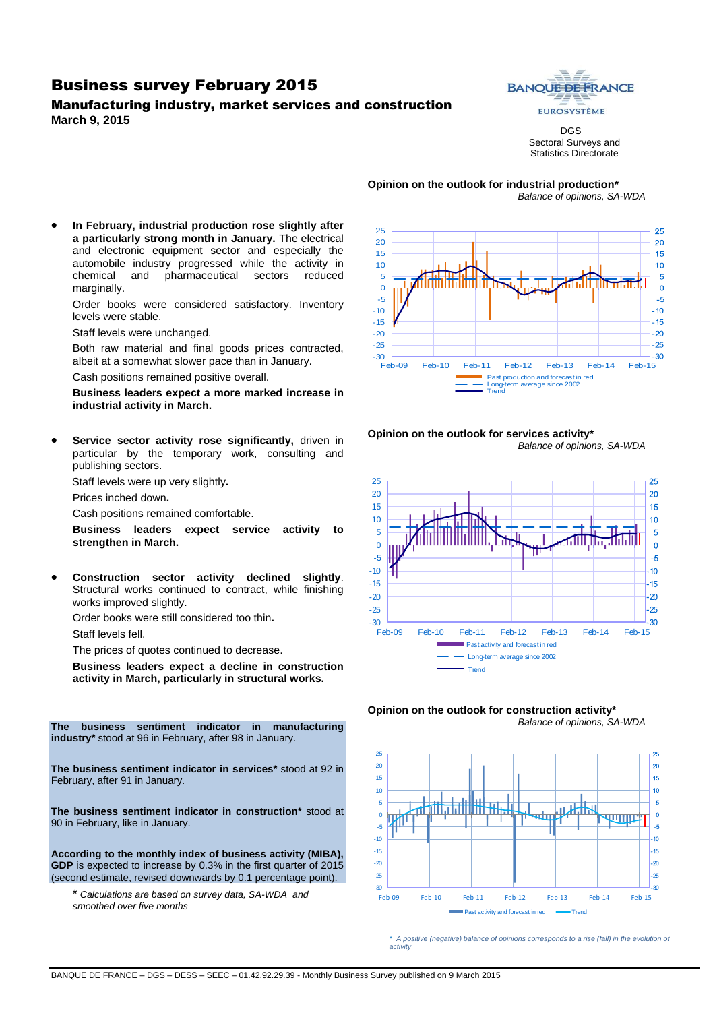### Business survey February 2015

#### Manufacturing industry, market services and construction **March 9, 2015**



DGS Sectoral Surveys and Statistics Directorate

**Opinion on the outlook for industrial production\*** *Balance of opinions, SA-WDA*

 **In February, industrial production rose slightly after a particularly strong month in January.** The electrical and electronic equipment sector and especially the automobile industry progressed while the activity in chemical and pharmaceutical sectors reduced marginally.

Order books were considered satisfactory. Inventory levels were stable.

Staff levels were unchanged.

Both raw material and final goods prices contracted, albeit at a somewhat slower pace than in January.

Cash positions remained positive overall.

**Business leaders expect a more marked increase in industrial activity in March.**

**Service sector activity rose significantly, driven in** particular by the temporary work, consulting and publishing sectors.

Staff levels were up very slightly**.**

Prices inched down**.**

Cash positions remained comfortable.

**Business leaders expect service activity to strengthen in March.**

 **Construction sector activity declined slightly**. Structural works continued to contract, while finishing works improved slightly.

Order books were still considered too thin**.**

Staff levels fell.

The prices of quotes continued to decrease.

**Business leaders expect a decline in construction activity in March, particularly in structural works.**

**The business sentiment indicator in manufacturing industry\*** stood at 96 in February, after 98 in January.

**The business sentiment indicator in services\*** stood at 92 in February, after 91 in January.

**The business sentiment indicator in construction\*** stood at 90 in February, like in January.

**According to the monthly index of business activity (MIBA), GDP** is expected to increase by 0.3% in the first quarter of 2015 (second estimate, revised downwards by 0.1 percentage point).

\* *Calculations are based on survey data, SA-WDA and smoothed over five months*











*\* A positive (negative) balance of opinions corresponds to a rise (fall) in the evolution of activity*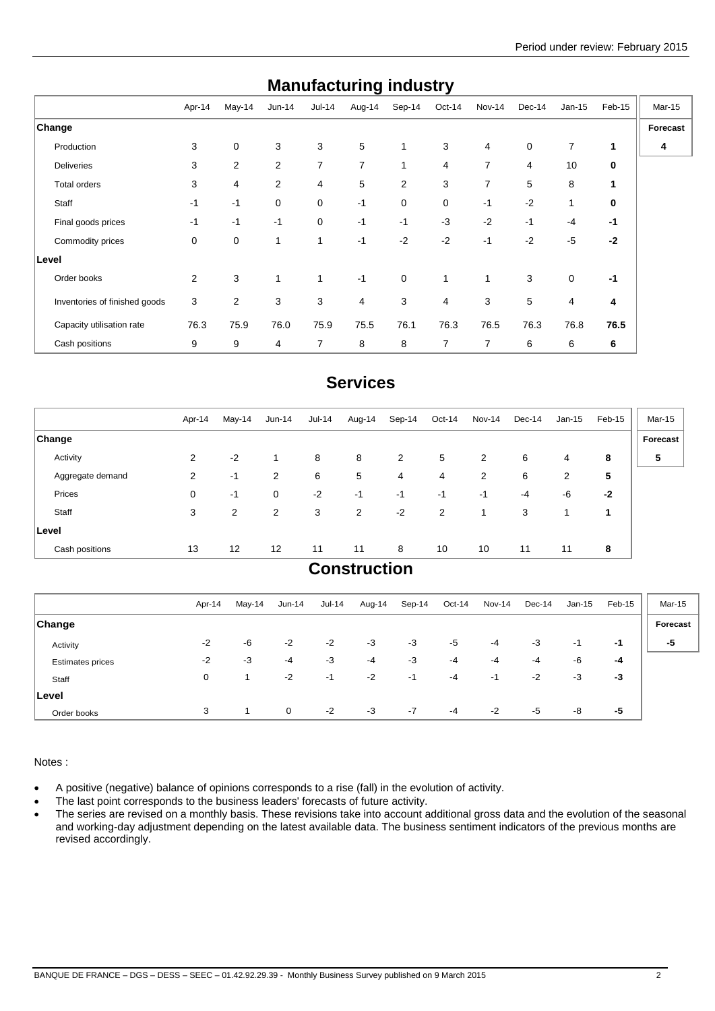| manaraotanny maasa y          |             |                |              |             |                |        |                |                |             |          |        |               |
|-------------------------------|-------------|----------------|--------------|-------------|----------------|--------|----------------|----------------|-------------|----------|--------|---------------|
|                               | Apr-14      | May-14         | $Jun-14$     | $Jul-14$    | Aug-14         | Sep-14 | Oct-14         | Nov-14         | Dec-14      | $Jan-15$ | Feb-15 | <b>Mar-15</b> |
| Change                        |             |                |              |             |                |        |                |                |             |          |        | Forecast      |
| Production                    | 3           | 0              | 3            | 3           | 5              | 1      | 3              | 4              | $\mathbf 0$ | 7        | 1      | 4             |
| <b>Deliveries</b>             | 3           | $\overline{2}$ | 2            | 7           | 7              |        | 4              | $\overline{7}$ | 4           | 10       | 0      |               |
| Total orders                  | 3           | 4              | 2            | 4           | 5              | 2      | 3              | 7              | 5           | 8        |        |               |
| Staff                         | $-1$        | $-1$           | 0            | $\mathbf 0$ | $-1$           | 0      | $\mathbf 0$    | $-1$           | $-2$        | 1        | 0      |               |
| Final goods prices            | $-1$        | $-1$           | $-1$         | $\mathbf 0$ | $-1$           | $-1$   | $-3$           | $-2$           | $-1$        | $-4$     | $-1$   |               |
| Commodity prices              | $\mathbf 0$ | 0              | $\mathbf{1}$ | 1           | $-1$           | $-2$   | $-2$           | $-1$           | $-2$        | $-5$     | $-2$   |               |
| Level                         |             |                |              |             |                |        |                |                |             |          |        |               |
| Order books                   | 2           | 3              | $\mathbf{1}$ | 1           | $-1$           | 0      |                | 1              | 3           | 0        | $-1$   |               |
| Inventories of finished goods | 3           | $\overline{2}$ | 3            | 3           | $\overline{4}$ | 3      | $\overline{4}$ | 3              | 5           | 4        | 4      |               |
| Capacity utilisation rate     | 76.3        | 75.9           | 76.0         | 75.9        | 75.5           | 76.1   | 76.3           | 76.5           | 76.3        | 76.8     | 76.5   |               |
| Cash positions                | 9           | 9              | 4            | 7           | 8              | 8      | 7              | 7              | 6           | 6        | 6      |               |

## **Manufacturing industry**

## **Services**

| Apr-14         | $May-14$ | Jun-14            | <b>Jul-14</b> | Aug-14 | Sep-14         | Oct-14         | Nov-14 | Dec-14 | $Jan-15$       | Feb-15 | Mar-15   |
|----------------|----------|-------------------|---------------|--------|----------------|----------------|--------|--------|----------------|--------|----------|
|                |          |                   |               |        |                |                |        |        |                |        | Forecast |
| 2              | $-2$     | 1                 | 8             | 8      | $\overline{2}$ | 5              | 2      | 6      | 4              | 8      | 5        |
| $\overline{2}$ | -1       | 2                 | 6             | 5      | 4              | 4              | 2      | 6      | $\overline{2}$ | 5      |          |
| 0              | $-1$     | 0                 | $-2$          | $-1$   | $-1$           | $-1$           | -1     | $-4$   | -6             | $-2$   |          |
| 3              | 2        | 2                 | 3             | 2      | $-2$           | $\overline{2}$ |        | 3      |                | 1      |          |
|                |          |                   |               |        |                |                |        |        |                |        |          |
| 13             | 12       | $12 \overline{ }$ | 11            | 11     | 8              | 10             | 10     | 11     | 11             | 8      |          |
|                |          |                   |               |        |                |                |        |        |                |        |          |

### **Construction**

|                         | Apr-14 | May-14 | Jun-14       | $Jul-14$ | Aug-14 | Sep-14 | Oct-14 | Nov-14 | $Dec-14$ | Jan-15 | Feb-15 | Mar-15   |
|-------------------------|--------|--------|--------------|----------|--------|--------|--------|--------|----------|--------|--------|----------|
| <b>Change</b>           |        |        |              |          |        |        |        |        |          |        |        | Forecast |
| Activity                | $-2$   | -6     | $-2$         | $-2$     | $-3$   | $-3$   | $-5$   | $-4$   | $-3$     | -1     | -1     | -5       |
| <b>Estimates prices</b> | $-2$   | -3     | $-4$         | $-3$     | $-4$   | $-3$   | $-4$   | $-4$   | -4       | -6     | -4     |          |
| Staff                   | 0      |        | $-2$         | -1       | $-2$   | -1     | $-4$   | -1     | $-2$     | -3     | $-3$   |          |
| Level                   |        |        |              |          |        |        |        |        |          |        |        |          |
| Order books             | 3      |        | $\mathbf{0}$ | $-2$     | $-3$   | $-7$   | $-4$   | $-2$   | $-5$     | -8     | -5     |          |

Notes :

- A positive (negative) balance of opinions corresponds to a rise (fall) in the evolution of activity.
- The last point corresponds to the business leaders' forecasts of future activity.
- The series are revised on a monthly basis. These revisions take into account additional gross data and the evolution of the seasonal and working-day adjustment depending on the latest available data. The business sentiment indicators of the previous months are revised accordingly.